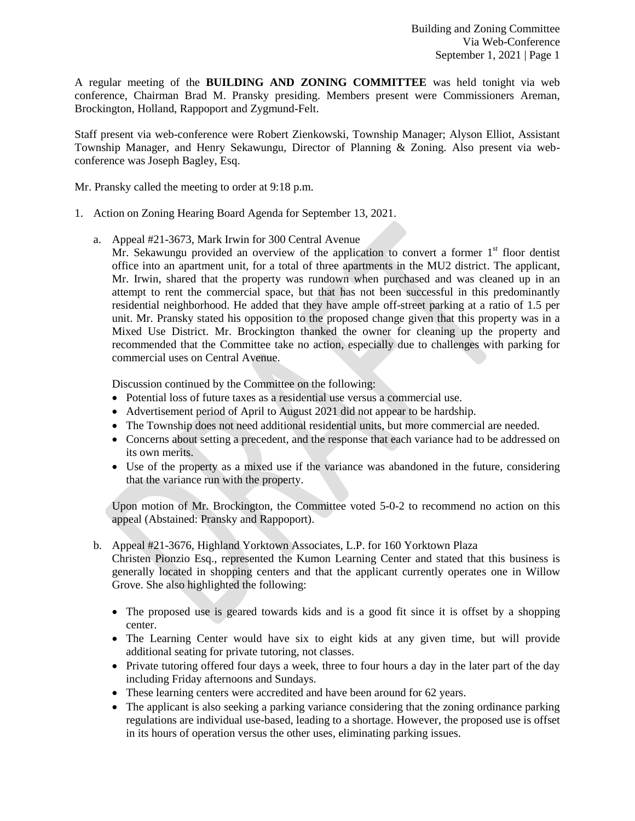A regular meeting of the **BUILDING AND ZONING COMMITTEE** was held tonight via web conference, Chairman Brad M. Pransky presiding. Members present were Commissioners Areman, Brockington, Holland, Rappoport and Zygmund-Felt.

Staff present via web-conference were Robert Zienkowski, Township Manager; Alyson Elliot, Assistant Township Manager, and Henry Sekawungu, Director of Planning & Zoning. Also present via webconference was Joseph Bagley, Esq.

Mr. Pransky called the meeting to order at 9:18 p.m.

- 1. Action on Zoning Hearing Board Agenda for September 13, 2021.
	- a. Appeal #21-3673, Mark Irwin for 300 Central Avenue
		- Mr. Sekawungu provided an overview of the application to convert a former  $1<sup>st</sup>$  floor dentist office into an apartment unit, for a total of three apartments in the MU2 district. The applicant, Mr. Irwin, shared that the property was rundown when purchased and was cleaned up in an attempt to rent the commercial space, but that has not been successful in this predominantly residential neighborhood. He added that they have ample off-street parking at a ratio of 1.5 per unit. Mr. Pransky stated his opposition to the proposed change given that this property was in a Mixed Use District. Mr. Brockington thanked the owner for cleaning up the property and recommended that the Committee take no action, especially due to challenges with parking for commercial uses on Central Avenue.

Discussion continued by the Committee on the following:

- Potential loss of future taxes as a residential use versus a commercial use.
- Advertisement period of April to August 2021 did not appear to be hardship.
- The Township does not need additional residential units, but more commercial are needed.
- Concerns about setting a precedent, and the response that each variance had to be addressed on its own merits.
- Use of the property as a mixed use if the variance was abandoned in the future, considering that the variance run with the property.

Upon motion of Mr. Brockington, the Committee voted 5-0-2 to recommend no action on this appeal (Abstained: Pransky and Rappoport).

b. Appeal #21-3676, Highland Yorktown Associates, L.P. for 160 Yorktown Plaza

Christen Pionzio Esq., represented the Kumon Learning Center and stated that this business is generally located in shopping centers and that the applicant currently operates one in Willow Grove. She also highlighted the following:

- The proposed use is geared towards kids and is a good fit since it is offset by a shopping center.
- The Learning Center would have six to eight kids at any given time, but will provide additional seating for private tutoring, not classes.
- Private tutoring offered four days a week, three to four hours a day in the later part of the day including Friday afternoons and Sundays.
- These learning centers were accredited and have been around for 62 years.
- The applicant is also seeking a parking variance considering that the zoning ordinance parking regulations are individual use-based, leading to a shortage. However, the proposed use is offset in its hours of operation versus the other uses, eliminating parking issues.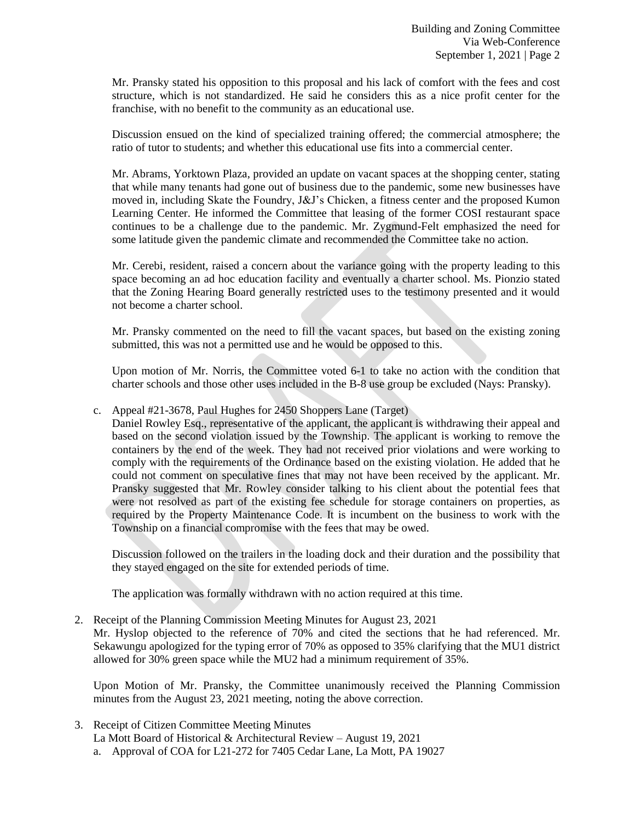Mr. Pransky stated his opposition to this proposal and his lack of comfort with the fees and cost structure, which is not standardized. He said he considers this as a nice profit center for the franchise, with no benefit to the community as an educational use.

Discussion ensued on the kind of specialized training offered; the commercial atmosphere; the ratio of tutor to students; and whether this educational use fits into a commercial center.

Mr. Abrams, Yorktown Plaza, provided an update on vacant spaces at the shopping center, stating that while many tenants had gone out of business due to the pandemic, some new businesses have moved in, including Skate the Foundry, J&J's Chicken, a fitness center and the proposed Kumon Learning Center. He informed the Committee that leasing of the former COSI restaurant space continues to be a challenge due to the pandemic. Mr. Zygmund-Felt emphasized the need for some latitude given the pandemic climate and recommended the Committee take no action.

Mr. Cerebi, resident, raised a concern about the variance going with the property leading to this space becoming an ad hoc education facility and eventually a charter school. Ms. Pionzio stated that the Zoning Hearing Board generally restricted uses to the testimony presented and it would not become a charter school.

Mr. Pransky commented on the need to fill the vacant spaces, but based on the existing zoning submitted, this was not a permitted use and he would be opposed to this.

Upon motion of Mr. Norris, the Committee voted 6-1 to take no action with the condition that charter schools and those other uses included in the B-8 use group be excluded (Nays: Pransky).

## c. Appeal #21-3678, Paul Hughes for 2450 Shoppers Lane (Target)

Daniel Rowley Esq., representative of the applicant, the applicant is withdrawing their appeal and based on the second violation issued by the Township. The applicant is working to remove the containers by the end of the week. They had not received prior violations and were working to comply with the requirements of the Ordinance based on the existing violation. He added that he could not comment on speculative fines that may not have been received by the applicant. Mr. Pransky suggested that Mr. Rowley consider talking to his client about the potential fees that were not resolved as part of the existing fee schedule for storage containers on properties, as required by the Property Maintenance Code. It is incumbent on the business to work with the Township on a financial compromise with the fees that may be owed.

Discussion followed on the trailers in the loading dock and their duration and the possibility that they stayed engaged on the site for extended periods of time.

The application was formally withdrawn with no action required at this time.

## 2. Receipt of the Planning Commission Meeting Minutes for August 23, 2021

Mr. Hyslop objected to the reference of 70% and cited the sections that he had referenced. Mr. Sekawungu apologized for the typing error of 70% as opposed to 35% clarifying that the MU1 district allowed for 30% green space while the MU2 had a minimum requirement of 35%.

Upon Motion of Mr. Pransky, the Committee unanimously received the Planning Commission minutes from the August 23, 2021 meeting, noting the above correction.

3. Receipt of Citizen Committee Meeting Minutes

La Mott Board of Historical & Architectural Review – August 19, 2021

a. Approval of COA for L21-272 for 7405 Cedar Lane, La Mott, PA 19027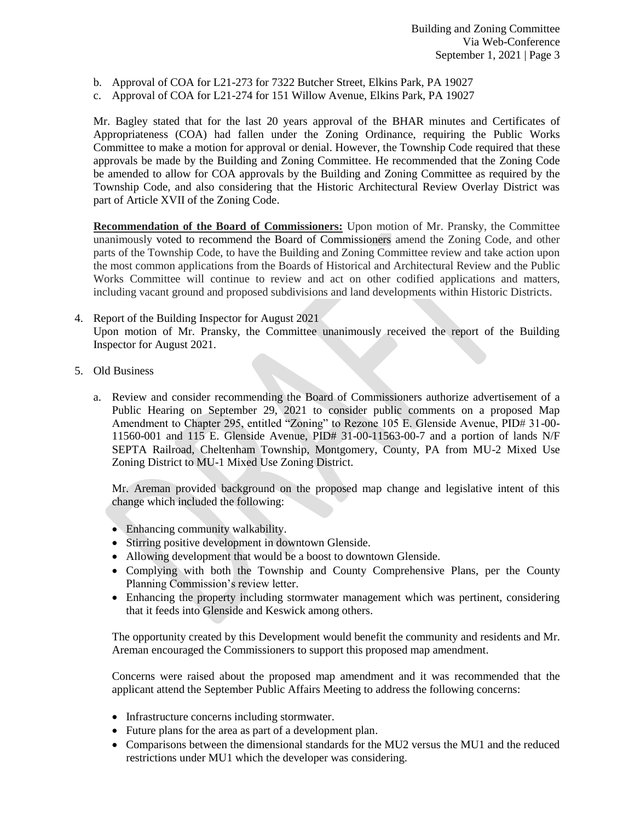- b. Approval of COA for L21-273 for 7322 Butcher Street, Elkins Park, PA 19027
- c. Approval of COA for L21-274 for 151 Willow Avenue, Elkins Park, PA 19027

Mr. Bagley stated that for the last 20 years approval of the BHAR minutes and Certificates of Appropriateness (COA) had fallen under the Zoning Ordinance, requiring the Public Works Committee to make a motion for approval or denial. However, the Township Code required that these approvals be made by the Building and Zoning Committee. He recommended that the Zoning Code be amended to allow for COA approvals by the Building and Zoning Committee as required by the Township Code, and also considering that the Historic Architectural Review Overlay District was part of Article XVII of the Zoning Code.

**Recommendation of the Board of Commissioners:** Upon motion of Mr. Pransky, the Committee unanimously voted to recommend the Board of Commissioners amend the Zoning Code, and other parts of the Township Code, to have the Building and Zoning Committee review and take action upon the most common applications from the Boards of Historical and Architectural Review and the Public Works Committee will continue to review and act on other codified applications and matters, including vacant ground and proposed subdivisions and land developments within Historic Districts.

## 4. Report of the Building Inspector for August 2021 Upon motion of Mr. Pransky, the Committee unanimously received the report of the Building Inspector for August 2021.

- 5. Old Business
	- a. Review and consider recommending the Board of Commissioners authorize advertisement of a Public Hearing on September 29, 2021 to consider public comments on a proposed Map Amendment to Chapter 295, entitled "Zoning" to Rezone 105 E. Glenside Avenue, PID# 31-00- 11560-001 and 115 E. Glenside Avenue, PID# 31-00-11563-00-7 and a portion of lands N/F SEPTA Railroad, Cheltenham Township, Montgomery, County, PA from MU-2 Mixed Use Zoning District to MU-1 Mixed Use Zoning District.

Mr. Areman provided background on the proposed map change and legislative intent of this change which included the following:

- Enhancing community walkability.
- Stirring positive development in downtown Glenside.
- Allowing development that would be a boost to downtown Glenside.
- Complying with both the Township and County Comprehensive Plans, per the County Planning Commission's review letter.
- Enhancing the property including stormwater management which was pertinent, considering that it feeds into Glenside and Keswick among others.

The opportunity created by this Development would benefit the community and residents and Mr. Areman encouraged the Commissioners to support this proposed map amendment.

Concerns were raised about the proposed map amendment and it was recommended that the applicant attend the September Public Affairs Meeting to address the following concerns:

- Infrastructure concerns including stormwater.
- Future plans for the area as part of a development plan.
- Comparisons between the dimensional standards for the MU2 versus the MU1 and the reduced restrictions under MU1 which the developer was considering.